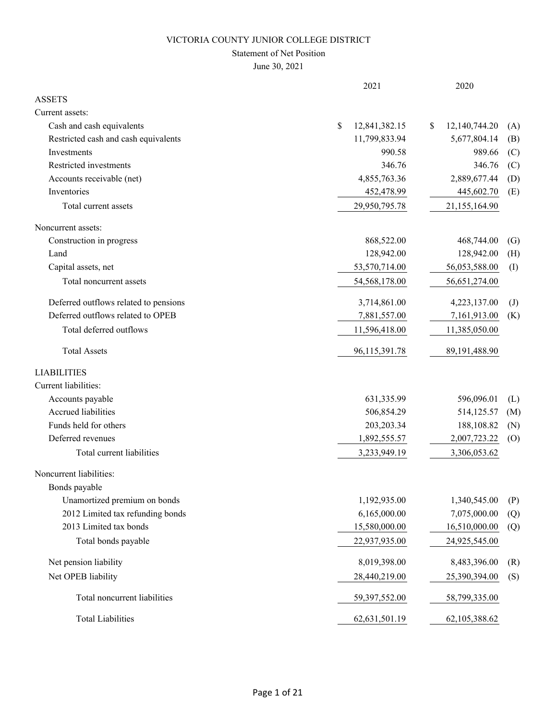### Statement of Net Position

June 30, 2021

|                                       | 2021                | 2020                |              |
|---------------------------------------|---------------------|---------------------|--------------|
| <b>ASSETS</b>                         |                     |                     |              |
| Current assets:                       |                     |                     |              |
| Cash and cash equivalents             | \$<br>12,841,382.15 | 12,140,744.20<br>\$ | (A)          |
| Restricted cash and cash equivalents  | 11,799,833.94       | 5,677,804.14        | (B)          |
| Investments                           | 990.58              | 989.66              | (C)          |
| Restricted investments                | 346.76              | 346.76              | (C)          |
| Accounts receivable (net)             | 4,855,763.36        | 2,889,677.44        | (D)          |
| Inventories                           | 452,478.99          | 445,602.70          | (E)          |
| Total current assets                  | 29,950,795.78       | 21,155,164.90       |              |
| Noncurrent assets:                    |                     |                     |              |
| Construction in progress              | 868,522.00          | 468,744.00          | (G)          |
| Land                                  | 128,942.00          | 128,942.00          | (H)          |
| Capital assets, net                   | 53,570,714.00       | 56,053,588.00       | (I)          |
| Total noncurrent assets               | 54,568,178.00       | 56,651,274.00       |              |
| Deferred outflows related to pensions | 3,714,861.00        | 4,223,137.00        | $\mathrm{J}$ |
| Deferred outflows related to OPEB     | 7,881,557.00        | 7,161,913.00        | (K)          |
| Total deferred outflows               | 11,596,418.00       | 11,385,050.00       |              |
| <b>Total Assets</b>                   | 96,115,391.78       | 89,191,488.90       |              |
| <b>LIABILITIES</b>                    |                     |                     |              |
| Current liabilities:                  |                     |                     |              |
| Accounts payable                      | 631,335.99          | 596,096.01          | (L)          |
| Accrued liabilities                   | 506,854.29          | 514,125.57          | (M)          |
| Funds held for others                 | 203, 203. 34        | 188,108.82          | (N)          |
| Deferred revenues                     | 1,892,555.57        | 2,007,723.22        | (0)          |
| Total current liabilities             | 3,233,949.19        | 3,306,053.62        |              |
| Noncurrent liabilities:               |                     |                     |              |
| Bonds payable                         |                     |                     |              |
| Unamortized premium on bonds          | 1,192,935.00        | 1,340,545.00        | (P)          |
| 2012 Limited tax refunding bonds      | 6,165,000.00        | 7,075,000.00        | (Q)          |
| 2013 Limited tax bonds                | 15,580,000.00       | 16,510,000.00       | (Q)          |
| Total bonds payable                   | 22,937,935.00       | 24,925,545.00       |              |
| Net pension liability                 | 8,019,398.00        | 8,483,396.00        | (R)          |
| Net OPEB liability                    | 28,440,219.00       | 25,390,394.00       | (S)          |
| Total noncurrent liabilities          | 59,397,552.00       | 58,799,335.00       |              |
| <b>Total Liabilities</b>              | 62,631,501.19       | 62,105,388.62       |              |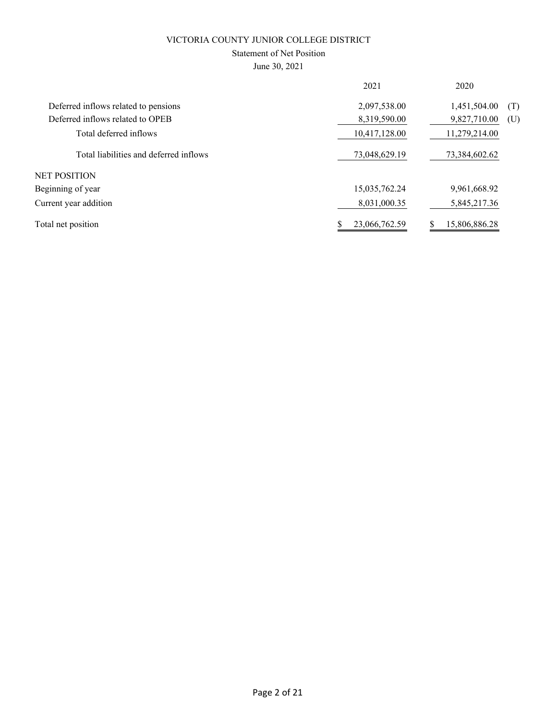## Statement of Net Position

June 30, 2021

|                                        | 2021          | 2020                |
|----------------------------------------|---------------|---------------------|
| Deferred inflows related to pensions   | 2,097,538.00  | 1,451,504.00<br>(T) |
| Deferred inflows related to OPEB       | 8,319,590.00  | 9,827,710.00<br>(U) |
| Total deferred inflows                 | 10,417,128.00 | 11,279,214.00       |
| Total liabilities and deferred inflows | 73,048,629.19 | 73,384,602.62       |
| NET POSITION                           |               |                     |
| Beginning of year                      | 15,035,762.24 | 9,961,668.92        |
| Current year addition                  | 8,031,000.35  | 5,845,217.36        |
| Total net position                     | 23,066,762.59 | 15,806,886.28       |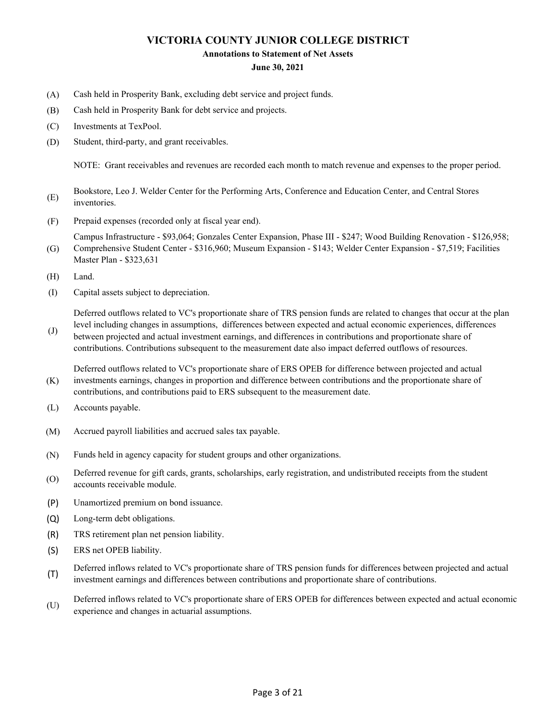#### **Annotations to Statement of Net Assets**

#### **June 30, 2021**

- (A) Cash held in Prosperity Bank, excluding debt service and project funds.
- (B) Cash held in Prosperity Bank for debt service and projects.
- (C) Investments at TexPool.
- (D) Student, third-party, and grant receivables.

NOTE: Grant receivables and revenues are recorded each month to match revenue and expenses to the proper period.

- (E) Bookstore, Leo J. Welder Center for the Performing Arts, Conference and Education Center, and Central Stores inventories.
- (F) Prepaid expenses (recorded only at fiscal year end).

Campus Infrastructure - \$93,064; Gonzales Center Expansion, Phase III - \$247; Wood Building Renovation - \$126,958; Comprehensive Student Center - \$316,960; Museum Expansion - \$143; Welder Center Expansion - \$7,519; Facilities

- (G) Master Plan - \$323,631
- (H) Land.
- (I) Capital assets subject to depreciation.

Deferred outflows related to VC's proportionate share of TRS pension funds are related to changes that occur at the plan level including changes in assumptions, differences between expected and actual economic experiences, differences

(J) between projected and actual investment earnings, and differences in contributions and proportionate share of contributions. Contributions subsequent to the measurement date also impact deferred outflows of resources.

(K) Deferred outflows related to VC's proportionate share of ERS OPEB for difference between projected and actual investments earnings, changes in proportion and difference between contributions and the proportionate share of contributions, and contributions paid to ERS subsequent to the measurement date.

- (L) Accounts payable.
- (M) Accrued payroll liabilities and accrued sales tax payable.
- (N) Funds held in agency capacity for student groups and other organizations.
- (O) Deferred revenue for gift cards, grants, scholarships, early registration, and undistributed receipts from the student accounts receivable module.
- (P) Unamortized premium on bond issuance.
- (Q) Long-term debt obligations.
- (R) TRS retirement plan net pension liability.
- (S) ERS net OPEB liability.
- (T) Deferred inflows related to VC's proportionate share of TRS pension funds for differences between projected and actual investment earnings and differences between contributions and proportionate share of contributions.
- (U) Deferred inflows related to VC's proportionate share of ERS OPEB for differences between expected and actual economic experience and changes in actuarial assumptions.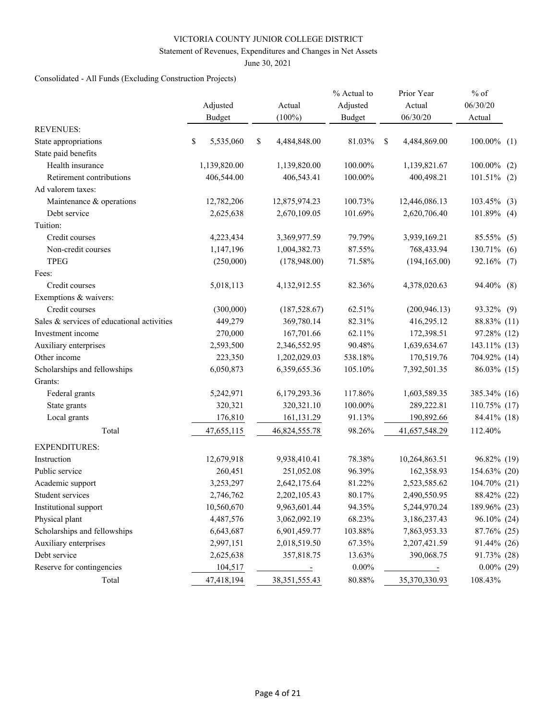#### Statement of Revenues, Expenditures and Changes in Net Assets

June 30, 2021

## Consolidated - All Funds (Excluding Construction Projects)

|                                            | Adjusted        |           | Actual               | % Actual to<br>Adjusted |   | Prior Year<br>Actual | $%$ of<br>06/30/20 |     |
|--------------------------------------------|-----------------|-----------|----------------------|-------------------------|---|----------------------|--------------------|-----|
|                                            | Budget          | $(100\%)$ |                      | <b>Budget</b>           |   | 06/30/20             | Actual             |     |
| <b>REVENUES:</b>                           |                 |           |                      |                         |   |                      |                    |     |
| State appropriations                       | \$<br>5,535,060 | \$        | 4,484,848.00         | 81.03%                  | S | 4,484,869.00         | $100.00\%$ (1)     |     |
| State paid benefits                        |                 |           |                      |                         |   |                      |                    |     |
| Health insurance                           | 1,139,820.00    |           | 1,139,820.00         | 100.00%                 |   | 1,139,821.67         | 100.00%            | (2) |
| Retirement contributions                   | 406,544.00      |           | 406,543.41           | 100.00%                 |   | 400,498.21           | $101.51\%$ (2)     |     |
| Ad valorem taxes:                          |                 |           |                      |                         |   |                      |                    |     |
| Maintenance & operations                   | 12,782,206      |           | 12,875,974.23        | 100.73%                 |   | 12,446,086.13        | $103.45\%$ (3)     |     |
| Debt service                               | 2,625,638       |           | 2,670,109.05         | 101.69%                 |   | 2,620,706.40         | $101.89\%$ (4)     |     |
| Tuition:                                   |                 |           |                      |                         |   |                      |                    |     |
| Credit courses                             | 4,223,434       |           | 3,369,977.59         | 79.79%                  |   | 3,939,169.21         | 85.55% (5)         |     |
| Non-credit courses                         | 1,147,196       |           | 1,004,382.73         | 87.55%                  |   | 768,433.94           | 130.71%            | (6) |
| <b>TPEG</b>                                | (250,000)       |           | (178,948.00)         | 71.58%                  |   | (194, 165.00)        | 92.16% (7)         |     |
| Fees:                                      |                 |           |                      |                         |   |                      |                    |     |
| Credit courses                             | 5,018,113       |           | 4,132,912.55         | 82.36%                  |   | 4,378,020.63         | 94.40% (8)         |     |
| Exemptions & waivers:                      |                 |           |                      |                         |   |                      |                    |     |
| Credit courses                             | (300,000)       |           | (187, 528.67)        | 62.51%                  |   | (200, 946.13)        | 93.32% (9)         |     |
| Sales & services of educational activities | 449,279         |           | 369,780.14           | 82.31%                  |   | 416,295.12           | 88.83% (11)        |     |
| Investment income                          | 270,000         |           | 167,701.66           | 62.11%                  |   | 172,398.51           | 97.28% (12)        |     |
| Auxiliary enterprises                      | 2,593,500       |           | 2,346,552.95         | 90.48%                  |   | 1,639,634.67         | 143.11% (13)       |     |
| Other income                               | 223,350         |           | 1,202,029.03         | 538.18%                 |   | 170,519.76           | 704.92% (14)       |     |
| Scholarships and fellowships               | 6,050,873       |           | 6,359,655.36         | 105.10%                 |   | 7,392,501.35         | 86.03% (15)        |     |
| Grants:                                    |                 |           |                      |                         |   |                      |                    |     |
| Federal grants                             | 5,242,971       |           | 6,179,293.36         | 117.86%                 |   | 1,603,589.35         | 385.34% (16)       |     |
| State grants                               | 320,321         |           | 320,321.10           | 100.00%                 |   | 289,222.81           | 110.75% (17)       |     |
| Local grants                               | 176,810         |           | 161,131.29           | 91.13%                  |   | 190,892.66           | 84.41% (18)        |     |
| Total                                      | 47,655,115      |           | 46,824,555.78        | 98.26%                  |   | 41,657,548.29        | 112.40%            |     |
| <b>EXPENDITURES:</b>                       |                 |           |                      |                         |   |                      |                    |     |
| Instruction                                | 12,679,918      |           | 9,938,410.41         | 78.38%                  |   | 10,264,863.51        | 96.82% (19)        |     |
| Public service                             | 260,451         |           | 251,052.08           | 96.39%                  |   | 162,358.93           | 154.63% (20)       |     |
| Academic support                           | 3,253,297       |           | 2,642,175.64         | 81.22%                  |   | 2,523,585.62         | 104.70% (21)       |     |
| Student services                           | 2,746,762       |           | 2,202,105.43         | 80.17%                  |   | 2,490,550.95         | 88.42% (22)        |     |
| Institutional support                      | 10,560,670      |           | 9,963,601.44         | 94.35%                  |   | 5,244,970.24         | 189.96% (23)       |     |
| Physical plant                             | 4,487,576       |           | 3,062,092.19         | 68.23%                  |   | 3,186,237.43         | 96.10% (24)        |     |
| Scholarships and fellowships               | 6,643,687       |           | 6,901,459.77         | 103.88%                 |   | 7,863,953.33         | 87.76% (25)        |     |
| Auxiliary enterprises                      | 2,997,151       |           | 2,018,519.50         | 67.35%                  |   | 2,207,421.59         | 91.44% (26)        |     |
| Debt service                               | 2,625,638       |           | 357,818.75           | 13.63%                  |   | 390,068.75           | 91.73% (28)        |     |
| Reserve for contingencies                  | 104,517         |           | $\sim$ $\sim$ $\sim$ | $0.00\%$                |   | $\sim$ $\sim$ $\sim$ | $0.00\%$ (29)      |     |
| Total                                      | 47,418,194      |           | 38, 351, 555. 43     | $80.88\%$               |   | 35,370,330.93        | 108.43%            |     |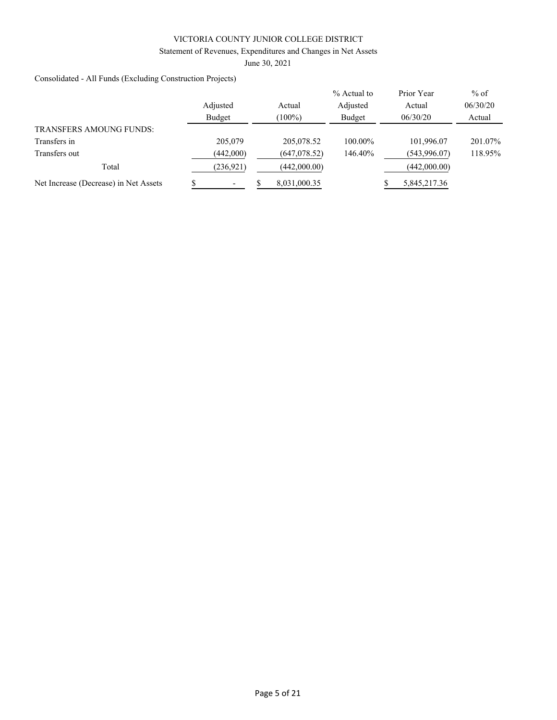#### Statement of Revenues, Expenditures and Changes in Net Assets

June 30, 2021

Consolidated - All Funds (Excluding Construction Projects)

|                                       |            |               | % Actual to | Prior Year   | $%$ of   |
|---------------------------------------|------------|---------------|-------------|--------------|----------|
|                                       | Adjusted   | Actual        | Adjusted    | Actual       | 06/30/20 |
|                                       | Budget     | $(100\%)$     | Budget      | 06/30/20     | Actual   |
| <b>TRANSFERS AMOUNG FUNDS:</b>        |            |               |             |              |          |
| Transfers in                          | 205,079    | 205,078.52    | 100.00%     | 101,996.07   | 201.07%  |
| Transfers out                         | (442,000)  | (647, 078.52) | 146.40%     | (543,996.07) | 118.95%  |
| Total                                 | (236, 921) | (442,000.00)  |             | (442,000.00) |          |
| Net Increase (Decrease) in Net Assets |            | 8,031,000.35  |             | 5,845,217.36 |          |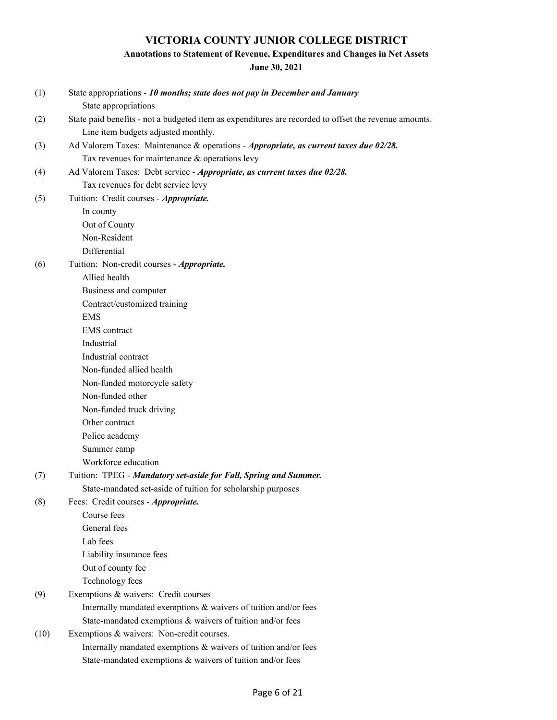## **Annotations to Statement of Revenue, Expenditures and Changes in Net Assets**

**June 30, 2021**

| (1)  | State appropriations - 10 months; state does not pay in December and January<br>State appropriations  |
|------|-------------------------------------------------------------------------------------------------------|
|      | State paid benefits - not a budgeted item as expenditures are recorded to offset the revenue amounts. |
| (2)  | Line item budgets adjusted monthly.                                                                   |
| (3)  | Ad Valorem Taxes: Maintenance & operations - Appropriate, as current taxes due 02/28.                 |
|      | Tax revenues for maintenance & operations levy                                                        |
| (4)  | Ad Valorem Taxes: Debt service - Appropriate, as current taxes due 02/28.                             |
|      | Tax revenues for debt service levy                                                                    |
| (5)  | Tuition: Credit courses - Appropriate.                                                                |
|      | In county                                                                                             |
|      | Out of County                                                                                         |
|      | Non-Resident                                                                                          |
|      | Differential                                                                                          |
| (6)  | Tuition: Non-credit courses - Appropriate.                                                            |
|      | Allied health                                                                                         |
|      | Business and computer                                                                                 |
|      | Contract/customized training                                                                          |
|      | <b>EMS</b>                                                                                            |
|      | <b>EMS</b> contract                                                                                   |
|      | Industrial                                                                                            |
|      | Industrial contract                                                                                   |
|      | Non-funded allied health                                                                              |
|      | Non-funded motorcycle safety                                                                          |
|      | Non-funded other                                                                                      |
|      | Non-funded truck driving                                                                              |
|      | Other contract                                                                                        |
|      | Police academy                                                                                        |
|      | Summer camp                                                                                           |
|      | Workforce education                                                                                   |
| (7)  | Tuition: TPEG - Mandatory set-aside for Fall, Spring and Summer.                                      |
|      | State-mandated set-aside of tuition for scholarship purposes                                          |
| (8)  | Fees: Credit courses - Appropriate.                                                                   |
|      | Course fees                                                                                           |
|      | General fees                                                                                          |
|      | Lab fees                                                                                              |
|      | Liability insurance fees                                                                              |
|      | Out of county fee                                                                                     |
|      | Technology fees                                                                                       |
| (9)  | Exemptions & waivers: Credit courses                                                                  |
|      | Internally mandated exemptions & waivers of tuition and/or fees                                       |
|      | State-mandated exemptions & waivers of tuition and/or fees                                            |
| (10) | Exemptions & waivers: Non-credit courses.                                                             |
|      | Internally mandated exemptions & waivers of tuition and/or fees                                       |
|      | State-mandated exemptions & waivers of tuition and/or fees                                            |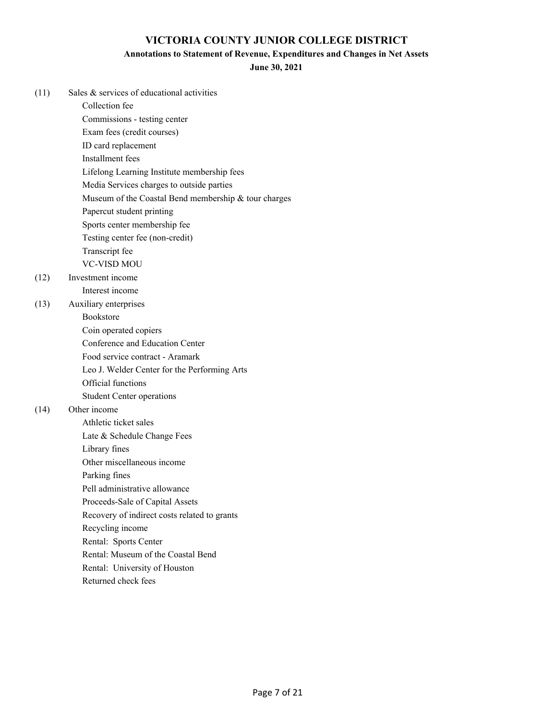#### **Annotations to Statement of Revenue, Expenditures and Changes in Net Assets**

**June 30, 2021**

| (11) | Sales & services of educational activities           |
|------|------------------------------------------------------|
|      | Collection fee                                       |
|      | Commissions - testing center                         |
|      | Exam fees (credit courses)                           |
|      | ID card replacement                                  |
|      | Installment fees                                     |
|      | Lifelong Learning Institute membership fees          |
|      | Media Services charges to outside parties            |
|      | Museum of the Coastal Bend membership & tour charges |
|      | Papercut student printing                            |
|      | Sports center membership fee                         |
|      | Testing center fee (non-credit)                      |
|      | Transcript fee                                       |
|      | <b>VC-VISD MOU</b>                                   |
| (12) | Investment income                                    |
|      | Interest income                                      |
| (13) | Auxiliary enterprises                                |
|      | Bookstore                                            |
|      | Coin operated copiers                                |
|      | Conference and Education Center                      |
|      | Food service contract - Aramark                      |
|      | Leo J. Welder Center for the Performing Arts         |
|      | Official functions                                   |
|      | <b>Student Center operations</b>                     |
| (14) | Other income                                         |
|      | Athletic ticket sales                                |
|      | Late & Schedule Change Fees                          |
|      | Library fines                                        |
|      | Other miscellaneous income                           |
|      | Parking fines                                        |
|      | Pell administrative allowance                        |
|      | Proceeds-Sale of Capital Assets                      |
|      | Recovery of indirect costs related to grants         |
|      | Recycling income                                     |
|      | Rental: Sports Center                                |
|      | Rental: Museum of the Coastal Bend                   |
|      | Rental: University of Houston                        |

Returned check fees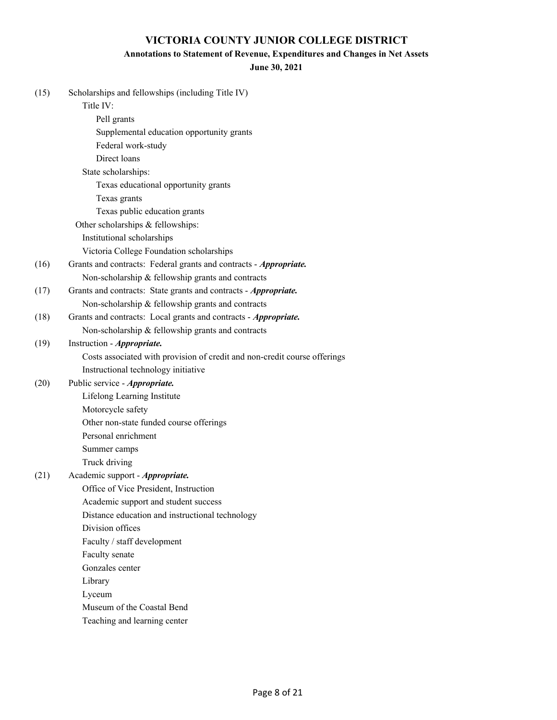## **Annotations to Statement of Revenue, Expenditures and Changes in Net Assets**

#### **June 30, 2021**

| (15) | Scholarships and fellowships (including Title IV)                         |
|------|---------------------------------------------------------------------------|
|      | Title IV:                                                                 |
|      | Pell grants                                                               |
|      | Supplemental education opportunity grants                                 |
|      | Federal work-study                                                        |
|      | Direct loans                                                              |
|      | State scholarships:                                                       |
|      | Texas educational opportunity grants                                      |
|      | Texas grants                                                              |
|      | Texas public education grants                                             |
|      | Other scholarships & fellowships:                                         |
|      | Institutional scholarships                                                |
|      | Victoria College Foundation scholarships                                  |
| (16) | Grants and contracts: Federal grants and contracts - Appropriate.         |
|      | Non-scholarship & fellowship grants and contracts                         |
| (17) | Grants and contracts: State grants and contracts - Appropriate.           |
|      | Non-scholarship & fellowship grants and contracts                         |
| (18) | Grants and contracts: Local grants and contracts - Appropriate.           |
|      | Non-scholarship & fellowship grants and contracts                         |
| (19) | Instruction - Appropriate.                                                |
|      | Costs associated with provision of credit and non-credit course offerings |
|      | Instructional technology initiative                                       |
| (20) | Public service - Appropriate.                                             |
|      | Lifelong Learning Institute                                               |
|      | Motorcycle safety                                                         |
|      | Other non-state funded course offerings                                   |
|      | Personal enrichment                                                       |
|      | Summer camps                                                              |
|      | Truck driving                                                             |
| (21) | Academic support - Appropriate.                                           |
|      | Office of Vice President, Instruction                                     |
|      | Academic support and student success                                      |
|      | Distance education and instructional technology                           |
|      | Division offices                                                          |
|      | Faculty / staff development                                               |
|      | Faculty senate                                                            |
|      | Gonzales center                                                           |
|      | Library                                                                   |
|      | Lyceum                                                                    |
|      | Museum of the Coastal Bend                                                |
|      | Teaching and learning center                                              |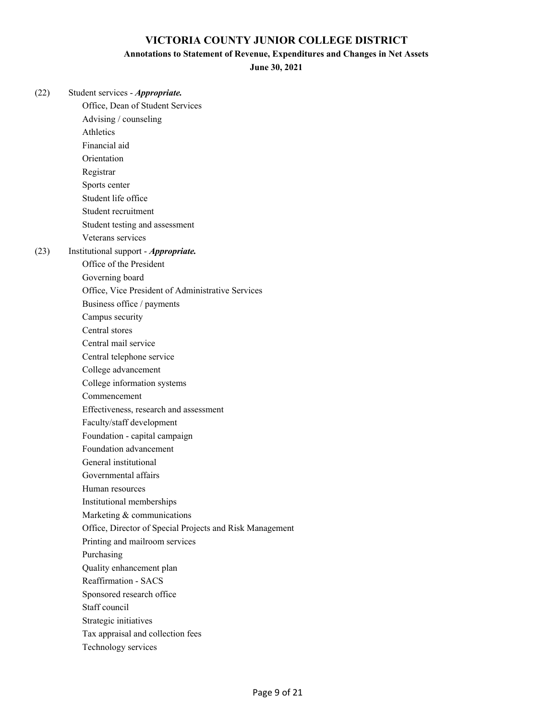#### **Annotations to Statement of Revenue, Expenditures and Changes in Net Assets**

**June 30, 2021**

(22) Student services - *Appropriate.* Office, Dean of Student Services Advising / counseling Athletics Financial aid Orientation Registrar Sports center Student life office Student recruitment Student testing and assessment Veterans services (23) Institutional support - *Appropriate.* Office of the President Governing board Office, Vice President of Administrative Services Business office / payments Campus security Central stores Central mail service Central telephone service College advancement College information systems Commencement Effectiveness, research and assessment Faculty/staff development Foundation - capital campaign Foundation advancement General institutional Governmental affairs Human resources Institutional memberships Marketing & communications Office, Director of Special Projects and Risk Management Printing and mailroom services Purchasing Quality enhancement plan Reaffirmation - SACS Sponsored research office Staff council Strategic initiatives Tax appraisal and collection fees

Technology services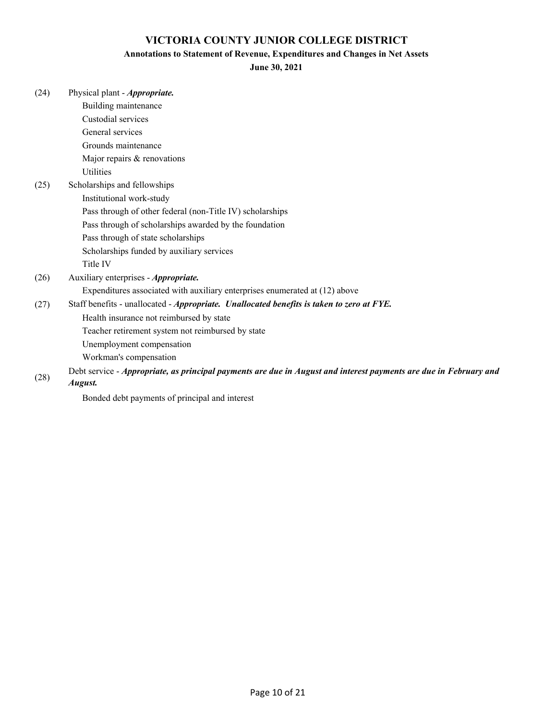### **Annotations to Statement of Revenue, Expenditures and Changes in Net Assets**

**June 30, 2021**

| (24) | Physical plant - <i>Appropriate</i> .                                                                             |
|------|-------------------------------------------------------------------------------------------------------------------|
|      | Building maintenance                                                                                              |
|      | Custodial services                                                                                                |
|      | General services                                                                                                  |
|      | Grounds maintenance                                                                                               |
|      | Major repairs & renovations                                                                                       |
|      | <b>Utilities</b>                                                                                                  |
| (25) | Scholarships and fellowships                                                                                      |
|      | Institutional work-study                                                                                          |
|      | Pass through of other federal (non-Title IV) scholarships                                                         |
|      | Pass through of scholarships awarded by the foundation                                                            |
|      | Pass through of state scholarships                                                                                |
|      | Scholarships funded by auxiliary services                                                                         |
|      | Title IV                                                                                                          |
| (26) | Auxiliary enterprises - Appropriate.                                                                              |
|      | Expenditures associated with auxiliary enterprises enumerated at (12) above                                       |
| (27) | Staff benefits - unallocated - Appropriate. Unallocated benefits is taken to zero at FYE.                         |
|      | Health insurance not reimbursed by state                                                                          |
|      | Teacher retirement system not reimbursed by state                                                                 |
|      | Unemployment compensation                                                                                         |
|      | Workman's compensation                                                                                            |
|      | Debt service - Appropriate, as principal payments are due in August and interest payments are due in February and |
| (28) | August.                                                                                                           |

Bonded debt payments of principal and interest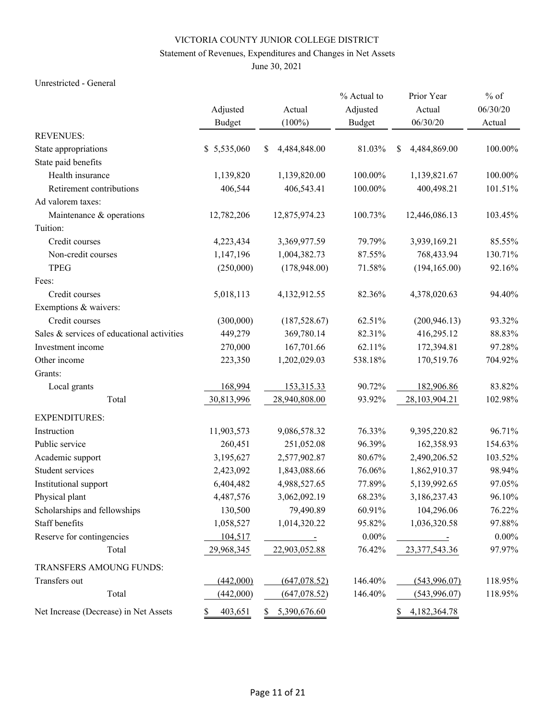## Statement of Revenues, Expenditures and Changes in Net Assets

June 30, 2021

#### Unrestricted - General

|                                            |               |                         | % Actual to   | Prior Year                | $%$ of   |
|--------------------------------------------|---------------|-------------------------|---------------|---------------------------|----------|
|                                            | Adjusted      | Actual                  | Adjusted      | Actual                    | 06/30/20 |
|                                            | <b>Budget</b> | $(100\%)$               | <b>Budget</b> | 06/30/20                  | Actual   |
| <b>REVENUES:</b>                           |               |                         |               |                           |          |
| State appropriations                       | \$5,535,060   | \$<br>4,484,848.00      | 81.03%        | \$<br>4,484,869.00        | 100.00%  |
| State paid benefits                        |               |                         |               |                           |          |
| Health insurance                           | 1,139,820     | 1,139,820.00            | 100.00%       | 1,139,821.67              | 100.00%  |
| Retirement contributions                   | 406,544       | 406,543.41              | 100.00%       | 400,498.21                | 101.51%  |
| Ad valorem taxes:                          |               |                         |               |                           |          |
| Maintenance & operations                   | 12,782,206    | 12,875,974.23           | 100.73%       | 12,446,086.13             | 103.45%  |
| Tuition:                                   |               |                         |               |                           |          |
| Credit courses                             | 4,223,434     | 3,369,977.59            | 79.79%        | 3,939,169.21              | 85.55%   |
| Non-credit courses                         | 1,147,196     | 1,004,382.73            | 87.55%        | 768,433.94                | 130.71%  |
| <b>TPEG</b>                                | (250,000)     | (178,948.00)            | 71.58%        | (194, 165.00)             | 92.16%   |
| Fees:                                      |               |                         |               |                           |          |
| Credit courses                             | 5,018,113     | 4,132,912.55            | 82.36%        | 4,378,020.63              | 94.40%   |
| Exemptions & waivers:                      |               |                         |               |                           |          |
| Credit courses                             | (300,000)     | (187, 528.67)           | 62.51%        | (200, 946.13)             | 93.32%   |
| Sales & services of educational activities | 449,279       | 369,780.14              | 82.31%        | 416,295.12                | 88.83%   |
| Investment income                          | 270,000       | 167,701.66              | 62.11%        | 172,394.81                | 97.28%   |
| Other income                               | 223,350       | 1,202,029.03            | 538.18%       | 170,519.76                | 704.92%  |
| Grants:                                    |               |                         |               |                           |          |
| Local grants                               | 168,994       | 153,315.33              | 90.72%        | 182,906.86                | 83.82%   |
| Total                                      | 30,813,996    | 28,940,808.00           | 93.92%        | 28,103,904.21             | 102.98%  |
| <b>EXPENDITURES:</b>                       |               |                         |               |                           |          |
| Instruction                                | 11,903,573    | 9,086,578.32            | 76.33%        | 9,395,220.82              | 96.71%   |
| Public service                             | 260,451       | 251,052.08              | 96.39%        | 162,358.93                | 154.63%  |
| Academic support                           | 3,195,627     | 2,577,902.87            | 80.67%        | 2,490,206.52              | 103.52%  |
| Student services                           | 2,423,092     | 1,843,088.66            | 76.06%        | 1,862,910.37              | 98.94%   |
| Institutional support                      | 6,404,482     | 4,988,527.65            | 77.89%        | 5,139,992.65              | 97.05%   |
| Physical plant                             | 4,487,576     | 3,062,092.19            | 68.23%        | 3,186,237.43              | 96.10%   |
| Scholarships and fellowships               | 130,500       | 79,490.89               | 60.91%        | 104,296.06                | 76.22%   |
| Staff benefits                             | 1,058,527     | 1,014,320.22            | 95.82%        | 1,036,320.58              | 97.88%   |
| Reserve for contingencies                  | 104,517       | $\sim 100$ km s $^{-1}$ | $0.00\%$      | $\sim 10^{11}$ km $^{-1}$ | $0.00\%$ |
| Total                                      | 29,968,345    | 22,903,052.88           | 76.42%        | 23,377,543.36             | 97.97%   |
| TRANSFERS AMOUNG FUNDS:                    |               |                         |               |                           |          |
| Transfers out                              | (442,000)     | (647,078.52)            | 146.40%       | (543,996.07)              | 118.95%  |
| Total                                      | (442,000)     | (647,078.52)            | 146.40%       | (543,996.07)              | 118.95%  |
| Net Increase (Decrease) in Net Assets      | 403,651<br>\$ | 5,390,676.60<br>S.      |               | 4,182,364.78<br>\$        |          |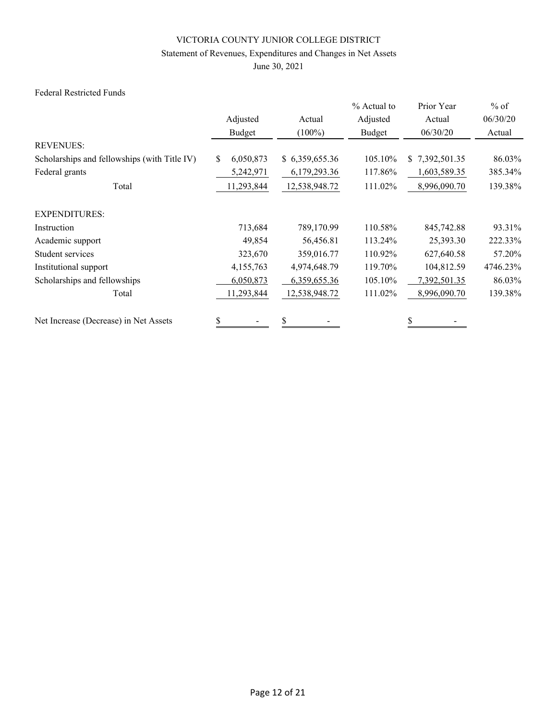## Statement of Revenues, Expenditures and Changes in Net Assets

June 30, 2021

#### Federal Restricted Funds

|                                              |                  |                | % Actual to | Prior Year         | $%$ of   |
|----------------------------------------------|------------------|----------------|-------------|--------------------|----------|
|                                              | Adjusted         | Actual         | Adjusted    | Actual             | 06/30/20 |
|                                              | Budget           | $(100\%)$      | Budget      | 06/30/20           | Actual   |
| <b>REVENUES:</b>                             |                  |                |             |                    |          |
| Scholarships and fellowships (with Title IV) | 6,050,873<br>\$. | \$6,359,655.36 | 105.10%     | 7,392,501.35<br>\$ | 86.03%   |
| Federal grants                               | 5,242,971        | 6,179,293.36   | 117.86%     | 1,603,589.35       | 385.34%  |
| Total                                        | 11,293,844       | 12,538,948.72  | 111.02%     | 8,996,090.70       | 139.38%  |
| <b>EXPENDITURES:</b>                         |                  |                |             |                    |          |
| Instruction                                  | 713,684          | 789,170.99     | 110.58%     | 845,742.88         | 93.31%   |
| Academic support                             | 49,854           | 56,456.81      | 113.24%     | 25,393.30          | 222.33%  |
| Student services                             | 323,670          | 359,016.77     | 110.92%     | 627,640.58         | 57.20%   |
| Institutional support                        | 4,155,763        | 4,974,648.79   | 119.70%     | 104,812.59         | 4746.23% |
| Scholarships and fellowships                 | 6,050,873        | 6,359,655.36   | 105.10%     | 7,392,501.35       | 86.03%   |
| Total                                        | 11,293,844       | 12,538,948.72  | 111.02%     | 8,996,090.70       | 139.38%  |
| Net Increase (Decrease) in Net Assets        | \$               | \$             |             |                    |          |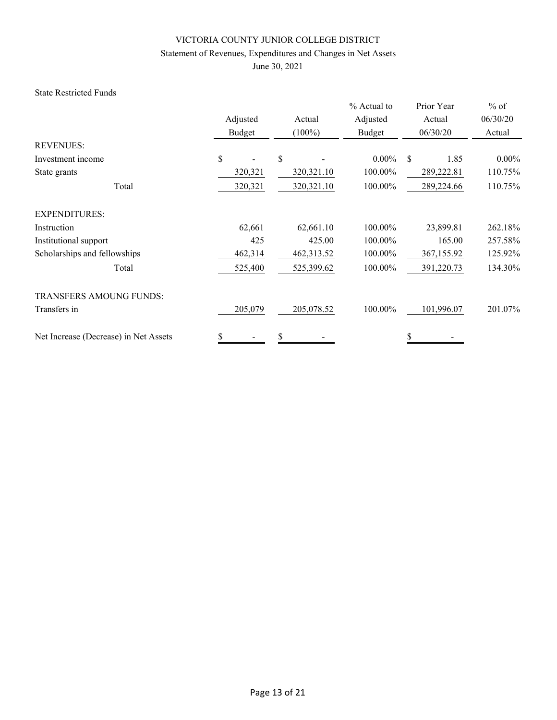## Statement of Revenues, Expenditures and Changes in Net Assets

June 30, 2021

#### State Restricted Funds

|                                       | Adjusted<br>Budget | Actual<br>$(100\%)$ |          | Prior Year<br>Actual<br>06/30/20 | $%$ of<br>06/30/20<br>Actual |
|---------------------------------------|--------------------|---------------------|----------|----------------------------------|------------------------------|
| <b>REVENUES:</b>                      |                    |                     |          |                                  |                              |
| Investment income                     | \$                 | \$                  | $0.00\%$ | \$<br>1.85                       | $0.00\%$                     |
| State grants                          | 320,321            | 320,321.10          | 100.00%  | 289,222.81                       | 110.75%                      |
| Total                                 | 320,321            | 320,321.10          | 100.00%  | 289,224.66                       | 110.75%                      |
| <b>EXPENDITURES:</b>                  |                    |                     |          |                                  |                              |
| Instruction                           | 62,661             | 62,661.10           | 100.00%  | 23,899.81                        | 262.18%                      |
| Institutional support                 | 425                | 425.00              | 100.00%  | 165.00                           | 257.58%                      |
| Scholarships and fellowships          | 462,314            | 462,313.52          | 100.00%  | 367,155.92                       | 125.92%                      |
| Total                                 | 525,400            | 525,399.62          | 100.00%  | 391,220.73                       | 134.30%                      |
| <b>TRANSFERS AMOUNG FUNDS:</b>        |                    |                     |          |                                  |                              |
| Transfers in                          | 205,079            | 205,078.52          | 100.00%  | 101,996.07                       | 201.07%                      |
| Net Increase (Decrease) in Net Assets | \$                 | \$                  |          | \$                               |                              |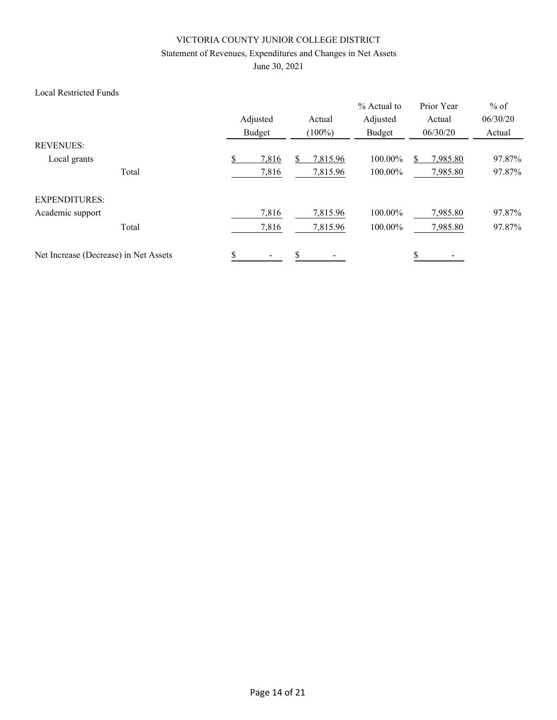## Statement of Revenues, Expenditures and Changes in Net Assets

June 30, 2021

#### Local Restricted Funds

|                                       |       | Adjusted<br>Budget | Actual<br>$(100\%)$ | % Actual to<br>Adjusted<br>Budget | Prior Year<br>Actual<br>06/30/20 | $%$ of<br>06/30/20<br>Actual |
|---------------------------------------|-------|--------------------|---------------------|-----------------------------------|----------------------------------|------------------------------|
| <b>REVENUES:</b>                      |       |                    |                     |                                   |                                  |                              |
| Local grants                          |       | 7,816              | \$<br>7,815.96      | 100.00%                           | 7,985.80                         | 97.87%                       |
|                                       | Total | 7,816              | 7,815.96            | 100.00%                           | 7,985.80                         | 97.87%                       |
| <b>EXPENDITURES:</b>                  |       |                    |                     |                                   |                                  |                              |
| Academic support                      |       | 7,816              | 7,815.96            | 100.00%                           | 7,985.80                         | 97.87%                       |
|                                       | Total | 7,816              | 7,815.96            | 100.00%                           | 7,985.80                         | 97.87%                       |
| Net Increase (Decrease) in Net Assets |       | \$                 | \$                  |                                   | \$                               |                              |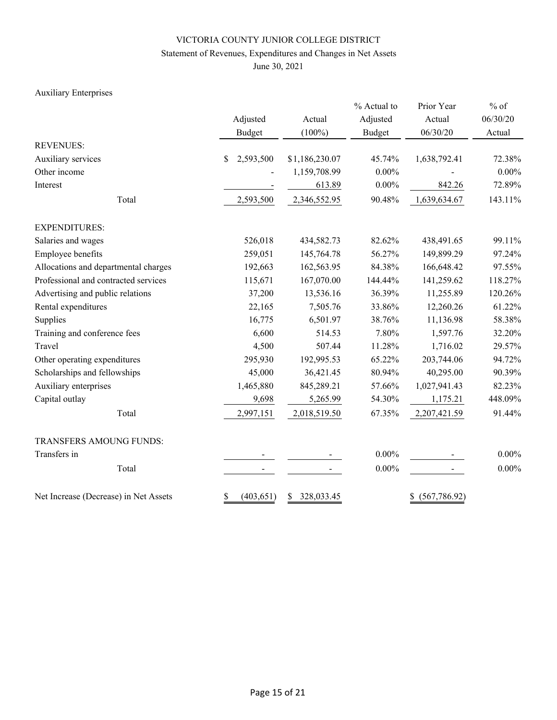## Statement of Revenues, Expenditures and Changes in Net Assets

June 30, 2021

## Auxiliary Enterprises

|                                       | Adjusted<br><b>Budget</b> | Actual<br>$(100\%)$                                          |          | Prior Year<br>Actual<br>06/30/20 | $%$ of<br>06/30/20<br>Actual |  |
|---------------------------------------|---------------------------|--------------------------------------------------------------|----------|----------------------------------|------------------------------|--|
| <b>REVENUES:</b>                      |                           |                                                              |          |                                  |                              |  |
| Auxiliary services                    | 2,593,500<br>$\mathbb{S}$ | \$1,186,230.07                                               | 45.74%   | 1,638,792.41                     | 72.38%                       |  |
| Other income                          |                           | 1,159,708.99                                                 | $0.00\%$ |                                  | $0.00\%$                     |  |
| Interest                              |                           | 613.89                                                       | $0.00\%$ | 842.26                           | 72.89%                       |  |
| Total                                 | 2,593,500                 | 2,346,552.95                                                 | 90.48%   | 1,639,634.67                     | 143.11%                      |  |
| <b>EXPENDITURES:</b>                  |                           |                                                              |          |                                  |                              |  |
| Salaries and wages                    | 526,018                   | 434,582.73<br>259,051<br>145,764.78<br>192,663<br>162,563.95 |          | 438,491.65                       | 99.11%                       |  |
| Employee benefits                     |                           |                                                              | 56.27%   | 149,899.29                       | 97.24%                       |  |
| Allocations and departmental charges  |                           |                                                              | 84.38%   | 166,648.42                       | 97.55%                       |  |
| Professional and contracted services  | 115,671                   | 167,070.00                                                   | 144.44%  | 141,259.62                       | 118.27%                      |  |
| Advertising and public relations      | 37,200                    | 13,536.16                                                    | 36.39%   | 11,255.89                        | 120.26%                      |  |
| Rental expenditures                   | 22,165                    | 7,505.76                                                     | 33.86%   | 12,260.26                        | 61.22%                       |  |
| Supplies                              | 16,775                    | 6,501.97                                                     | 38.76%   | 11,136.98                        | 58.38%                       |  |
| Training and conference fees          | 6,600                     | 514.53                                                       | 7.80%    | 1,597.76                         | 32.20%                       |  |
| Travel                                | 4,500                     | 507.44                                                       | 11.28%   | 1,716.02                         | 29.57%                       |  |
| Other operating expenditures          | 295,930                   | 192,995.53                                                   | 65.22%   | 203,744.06                       | 94.72%                       |  |
| Scholarships and fellowships          | 45,000                    | 36,421.45                                                    | 80.94%   | 40,295.00                        | 90.39%                       |  |
| Auxiliary enterprises                 | 1,465,880                 | 845,289.21                                                   | 57.66%   | 1,027,941.43                     | 82.23%                       |  |
| Capital outlay                        | 9,698                     | 5,265.99                                                     | 54.30%   | 1,175.21                         | 448.09%                      |  |
| Total                                 | 2,997,151                 | 2,018,519.50                                                 | 67.35%   | 2,207,421.59                     | 91.44%                       |  |
| TRANSFERS AMOUNG FUNDS:               |                           |                                                              |          |                                  |                              |  |
| Transfers in                          |                           |                                                              | $0.00\%$ |                                  | $0.00\%$                     |  |
| Total                                 |                           |                                                              | $0.00\%$ |                                  | $0.00\%$                     |  |
| Net Increase (Decrease) in Net Assets | \$<br>(403, 651)          | 328,033.45<br>\$                                             |          | (567, 786.92)<br>\$              |                              |  |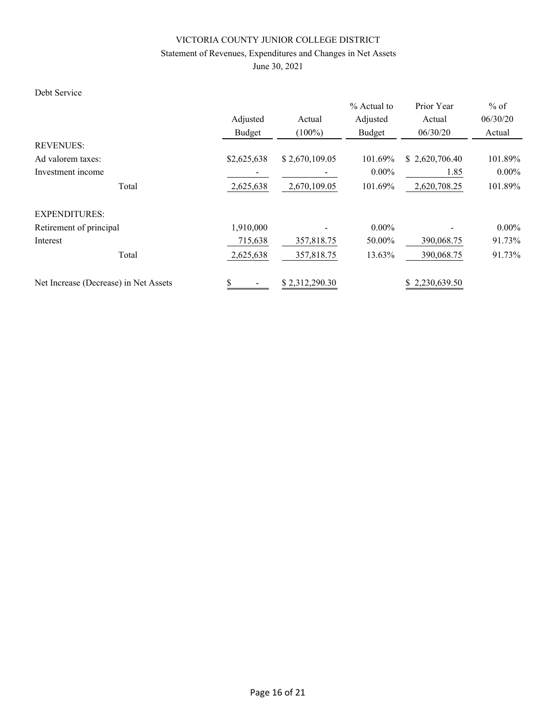## Statement of Revenues, Expenditures and Changes in Net Assets

June 30, 2021

## Debt Service

|                                       |             |                         | % Actual to | Prior Year     | $%$ of   |  |
|---------------------------------------|-------------|-------------------------|-------------|----------------|----------|--|
|                                       | Adjusted    | Actual                  | Adjusted    | Actual         | 06/30/20 |  |
|                                       | Budget      | $(100\%)$               | Budget      | 06/30/20       | Actual   |  |
| <b>REVENUES:</b>                      |             |                         |             |                |          |  |
| Ad valorem taxes:                     | \$2,625,638 | \$2,670,109.05          | 101.69%     | \$2,620,706.40 | 101.89%  |  |
| Investment income                     |             |                         | $0.00\%$    | 1.85           | $0.00\%$ |  |
| Total                                 | 2,625,638   | 101.69%<br>2,670,109.05 |             | 2,620,708.25   | 101.89%  |  |
| <b>EXPENDITURES:</b>                  |             |                         |             |                |          |  |
| Retirement of principal               | 1,910,000   |                         | $0.00\%$    |                | $0.00\%$ |  |
| Interest                              | 715,638     | 357,818.75              | 50.00%      | 390,068.75     | 91.73%   |  |
| Total                                 | 2,625,638   | 357,818.75              | 13.63%      | 390,068.75     | 91.73%   |  |
| Net Increase (Decrease) in Net Assets | \$          | \$2,312,290.30          |             | \$2,230,639.50 |          |  |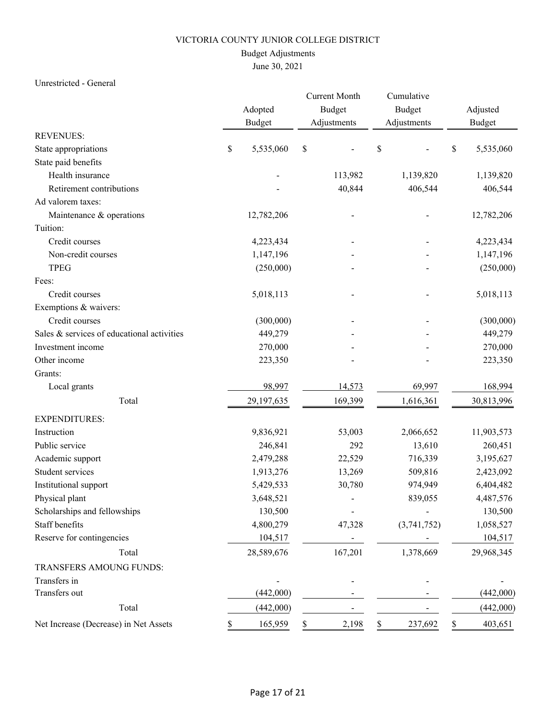## Budget Adjustments

## June 30, 2021

#### Unrestricted - General

|                                            |    | Adopted<br><b>Budget</b> |     | <b>Current Month</b><br><b>Budget</b><br>Adjustments |         | Cumulative<br>Budget<br>Adjustments |    | Adjusted<br><b>Budget</b> |
|--------------------------------------------|----|--------------------------|-----|------------------------------------------------------|---------|-------------------------------------|----|---------------------------|
| <b>REVENUES:</b>                           |    |                          |     |                                                      |         |                                     |    |                           |
| State appropriations                       | \$ | 5,535,060                | \$  |                                                      | \$      |                                     | \$ | 5,535,060                 |
| State paid benefits                        |    |                          |     |                                                      |         |                                     |    |                           |
| Health insurance                           |    |                          |     | 113,982                                              |         | 1,139,820                           |    | 1,139,820                 |
| Retirement contributions                   |    |                          |     | 40,844                                               |         | 406,544                             |    | 406,544                   |
| Ad valorem taxes:                          |    |                          |     |                                                      |         |                                     |    |                           |
| Maintenance & operations                   |    | 12,782,206               |     |                                                      |         |                                     |    | 12,782,206                |
| Tuition:                                   |    |                          |     |                                                      |         |                                     |    |                           |
| Credit courses                             |    | 4,223,434                |     |                                                      |         |                                     |    | 4,223,434                 |
| Non-credit courses                         |    | 1,147,196                |     |                                                      |         |                                     |    | 1,147,196                 |
| <b>TPEG</b>                                |    | (250,000)                |     |                                                      |         |                                     |    | (250,000)                 |
| Fees:                                      |    |                          |     |                                                      |         |                                     |    |                           |
| Credit courses                             |    | 5,018,113                |     |                                                      |         |                                     |    | 5,018,113                 |
| Exemptions & waivers:                      |    |                          |     |                                                      |         |                                     |    |                           |
| Credit courses                             |    | (300,000)                |     |                                                      |         |                                     |    | (300,000)                 |
| Sales & services of educational activities |    | 449,279                  |     |                                                      |         |                                     |    | 449,279                   |
| Investment income                          |    | 270,000                  |     |                                                      |         |                                     |    | 270,000                   |
| Other income                               |    | 223,350                  |     |                                                      |         |                                     |    | 223,350                   |
| Grants:                                    |    |                          |     |                                                      |         |                                     |    |                           |
| Local grants                               |    | 98,997                   |     | 14,573                                               |         | 69,997                              |    | 168,994                   |
| Total                                      |    | 29,197,635               |     | 169,399                                              |         | 1,616,361                           |    | 30,813,996                |
| <b>EXPENDITURES:</b>                       |    |                          |     |                                                      |         |                                     |    |                           |
| Instruction                                |    | 9,836,921                |     | 53,003                                               |         | 2,066,652                           |    | 11,903,573                |
| Public service                             |    | 246,841                  |     | 292                                                  | 13,610  |                                     |    | 260,451                   |
| Academic support                           |    | 2,479,288                |     | 22,529                                               |         | 716,339                             |    | 3,195,627                 |
| Student services                           |    | 1,913,276                |     | 13,269                                               | 509,816 |                                     |    | 2,423,092                 |
| Institutional support                      |    | 5,429,533                |     | 30,780                                               |         | 974,949                             |    | 6,404,482                 |
| Physical plant                             |    | 3,648,521                |     |                                                      |         | 839,055                             |    | 4,487,576                 |
| Scholarships and fellowships               |    | 130,500                  |     |                                                      |         |                                     |    | 130,500                   |
| Staff benefits                             |    | 4,800,279                |     | 47,328                                               |         | (3,741,752)                         |    | 1,058,527                 |
| Reserve for contingencies                  |    | 104,517                  |     |                                                      |         |                                     |    | 104,517                   |
| Total                                      |    | 28,589,676               |     | 167,201                                              |         | 1,378,669                           |    | 29,968,345                |
| TRANSFERS AMOUNG FUNDS:                    |    |                          |     |                                                      |         |                                     |    |                           |
| Transfers in                               |    |                          |     |                                                      |         |                                     |    |                           |
| Transfers out                              |    | (442,000)                |     |                                                      |         |                                     |    | (442,000)                 |
| Total                                      |    | (442,000)                |     |                                                      |         |                                     |    | (442,000)                 |
| Net Increase (Decrease) in Net Assets      | D  | 165,959                  | \$. | 2,198                                                | \$      | 237,692                             | \$ | 403,651                   |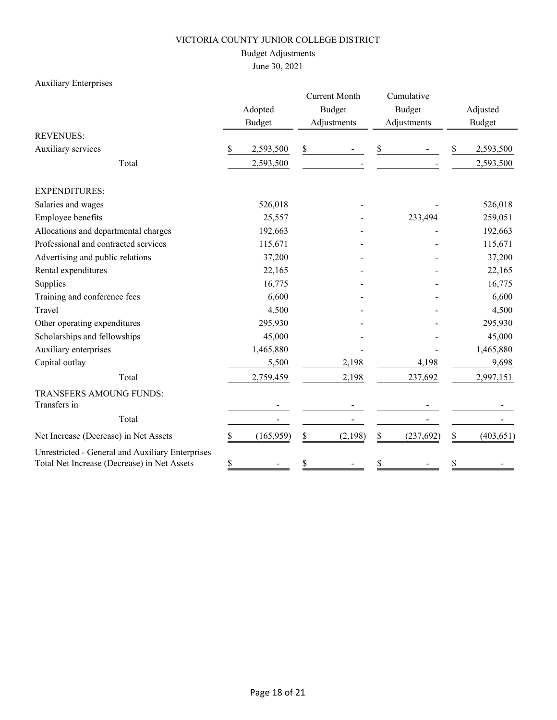## Budget Adjustments

## June 30, 2021

## Auxiliary Enterprises

|                                                                                                 | Adopted |               | <b>Current Month</b> |               | Cumulative |               |               |            |  |
|-------------------------------------------------------------------------------------------------|---------|---------------|----------------------|---------------|------------|---------------|---------------|------------|--|
|                                                                                                 |         |               |                      | <b>Budget</b> |            | <b>Budget</b> | Adjusted      |            |  |
|                                                                                                 |         | <b>Budget</b> |                      | Adjustments   |            | Adjustments   | <b>Budget</b> |            |  |
| <b>REVENUES:</b>                                                                                |         |               |                      |               |            |               |               |            |  |
| Auxiliary services                                                                              | \$      | 2,593,500     | \$                   |               | \$         |               | \$            | 2,593,500  |  |
| Total                                                                                           |         | 2,593,500     |                      |               |            |               |               | 2,593,500  |  |
| <b>EXPENDITURES:</b>                                                                            |         |               |                      |               |            |               |               |            |  |
| Salaries and wages                                                                              |         | 526,018       |                      |               |            |               |               | 526,018    |  |
| Employee benefits                                                                               |         | 25,557        |                      |               |            | 233,494       |               | 259,051    |  |
| Allocations and departmental charges                                                            |         | 192,663       |                      |               |            |               |               | 192,663    |  |
| Professional and contracted services                                                            |         | 115,671       |                      |               |            |               |               | 115,671    |  |
| Advertising and public relations                                                                |         | 37,200        |                      |               |            |               |               | 37,200     |  |
| Rental expenditures                                                                             |         | 22,165        |                      |               |            |               |               | 22,165     |  |
| Supplies                                                                                        |         | 16,775        |                      |               |            |               |               | 16,775     |  |
| Training and conference fees                                                                    |         | 6,600         |                      |               |            |               |               | 6,600      |  |
| Travel                                                                                          |         | 4,500         |                      |               |            |               |               | 4,500      |  |
| Other operating expenditures                                                                    |         | 295,930       |                      |               |            |               |               | 295,930    |  |
| Scholarships and fellowships                                                                    |         | 45,000        |                      |               |            |               |               | 45,000     |  |
| Auxiliary enterprises                                                                           |         | 1,465,880     |                      |               |            |               |               | 1,465,880  |  |
| Capital outlay                                                                                  |         | 5,500         |                      | 2,198         |            | 4,198         |               | 9,698      |  |
| Total                                                                                           |         | 2,759,459     |                      | 2,198         |            | 237,692       |               | 2,997,151  |  |
| TRANSFERS AMOUNG FUNDS:                                                                         |         |               |                      |               |            |               |               |            |  |
| Transfers in                                                                                    |         |               |                      |               |            |               |               |            |  |
| Total                                                                                           |         |               |                      |               |            |               |               |            |  |
| Net Increase (Decrease) in Net Assets                                                           | \$      | (165, 959)    | \$                   | (2,198)       | \$         | (237, 692)    | \$            | (403, 651) |  |
| Unrestricted - General and Auxiliary Enterprises<br>Total Net Increase (Decrease) in Net Assets | \$      |               | \$                   |               | \$         |               | \$            |            |  |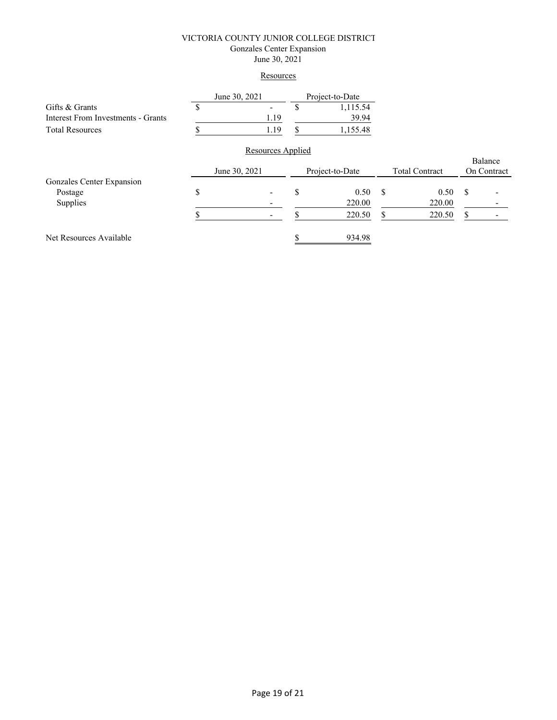#### VICTORIA COUNTY JUNIOR COLLEGE DISTRICT Gonzales Center Expansion June 30, 2021

#### **Resources**

|                                    | June 30, 2021 |                   |    | Project-to-Date |                       |        |             |         |  |
|------------------------------------|---------------|-------------------|----|-----------------|-----------------------|--------|-------------|---------|--|
| Gifts & Grants                     | У             |                   | \$ | 1,115.54        |                       |        |             |         |  |
| Interest From Investments - Grants |               | 1.19              |    | 39.94           |                       |        |             |         |  |
| <b>Total Resources</b>             |               | 1.19              | S  | 1,155.48        |                       |        |             |         |  |
|                                    |               | Resources Applied |    |                 |                       |        |             |         |  |
|                                    |               |                   |    |                 |                       |        |             | Balance |  |
|                                    | June 30, 2021 |                   |    | Project-to-Date | <b>Total Contract</b> |        | On Contract |         |  |
| Gonzales Center Expansion          |               |                   |    |                 |                       |        |             |         |  |
| Postage                            | \$            |                   | \$ | 0.50            | \$                    | 0.50   | S           |         |  |
| Supplies                           |               |                   |    | 220.00          |                       | 220.00 |             |         |  |
|                                    |               |                   |    | 220.50          | S                     | 220.50 | S           |         |  |
| Net Resources Available            |               |                   |    | 934.98          |                       |        |             |         |  |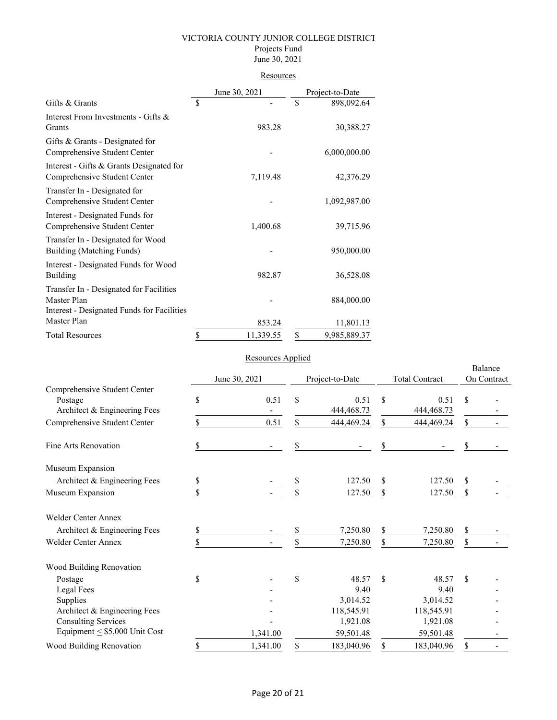#### Projects Fund June 30, 2021

# **Resources**

|                                                                                                      | June 30, 2021   | Project-to-Date    |
|------------------------------------------------------------------------------------------------------|-----------------|--------------------|
| Gifts & Grants                                                                                       | \$              | \$<br>898,092.64   |
| Interest From Investments - Gifts &<br>Grants                                                        | 983.28          | 30,388.27          |
| Gifts & Grants - Designated for<br>Comprehensive Student Center                                      |                 | 6,000,000.00       |
| Interest - Gifts & Grants Designated for<br>Comprehensive Student Center                             | 7,119.48        | 42,376.29          |
| Transfer In - Designated for<br>Comprehensive Student Center                                         |                 | 1,092,987.00       |
| Interest - Designated Funds for<br>Comprehensive Student Center                                      | 1,400.68        | 39,715.96          |
| Transfer In - Designated for Wood<br>Building (Matching Funds)                                       |                 | 950,000.00         |
| Interest - Designated Funds for Wood<br>Building                                                     | 982.87          | 36,528.08          |
| Transfer In - Designated for Facilities<br>Master Plan<br>Interest - Designated Funds for Facilities |                 | 884,000.00         |
| Master Plan                                                                                          | 853.24          | 11,801.13          |
| <b>Total Resources</b>                                                                               | \$<br>11,339.55 | \$<br>9,985,889.37 |

## Resources Applied

|                                                                         |               | <i>reported inputed</i> |                 |                      |                       |                      |                        |  |
|-------------------------------------------------------------------------|---------------|-------------------------|-----------------|----------------------|-----------------------|----------------------|------------------------|--|
|                                                                         | June 30, 2021 |                         | Project-to-Date |                      | <b>Total Contract</b> |                      | Balance<br>On Contract |  |
| Comprehensive Student Center<br>Postage<br>Architect & Engineering Fees | \$            | 0.51                    | \$              | 0.51<br>444, 468. 73 | \$                    | 0.51<br>444, 468. 73 | \$                     |  |
| Comprehensive Student Center                                            | \$            | 0.51                    | \$              | 444,469.24           | \$                    | 444,469.24           | \$                     |  |
| Fine Arts Renovation                                                    | \$            |                         | \$              |                      | \$                    |                      | \$                     |  |
| Museum Expansion                                                        |               |                         |                 |                      |                       |                      |                        |  |
| Architect & Engineering Fees                                            | \$            |                         | \$              | 127.50               | \$                    | 127.50               | \$                     |  |
| Museum Expansion                                                        | \$            |                         | \$              | 127.50               | \$                    | 127.50               | \$                     |  |
| <b>Welder Center Annex</b>                                              |               |                         |                 |                      |                       |                      |                        |  |
| Architect & Engineering Fees                                            | \$            |                         | \$              | 7,250.80             | \$                    | 7,250.80             | \$                     |  |
| <b>Welder Center Annex</b>                                              | \$            |                         | \$              | 7,250.80             | \$                    | 7,250.80             | \$                     |  |
| Wood Building Renovation                                                |               |                         |                 |                      |                       |                      |                        |  |
| Postage                                                                 | \$            |                         | \$              | 48.57                | \$                    | 48.57                | \$                     |  |
| Legal Fees                                                              |               |                         |                 | 9.40                 |                       | 9.40                 |                        |  |
| Supplies                                                                |               |                         |                 | 3,014.52             |                       | 3,014.52             |                        |  |
| Architect & Engineering Fees                                            |               |                         |                 | 118,545.91           |                       | 118,545.91           |                        |  |
| <b>Consulting Services</b>                                              |               |                         |                 | 1,921.08             |                       | 1,921.08             |                        |  |
| Equipment $\leq$ \$5,000 Unit Cost                                      |               | 1,341.00                |                 | 59,501.48            |                       | 59,501.48            |                        |  |
| Wood Building Renovation                                                | \$            | 1,341.00                | \$              | 183,040.96           | \$                    | 183,040.96           | \$                     |  |